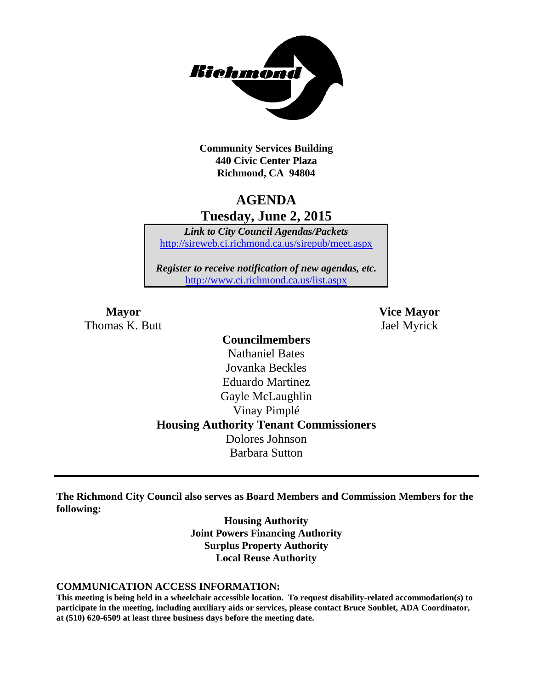

**Community Services Building 440 Civic Center Plaza Richmond, CA 94804**

# **AGENDA Tuesday, June 2, 2015**

*Link to City Council Agendas/Packets* <http://sireweb.ci.richmond.ca.us/sirepub/meet.aspx>

*Register to receive notification of new agendas, etc.* <http://www.ci.richmond.ca.us/list.aspx>

Thomas K. Butt Jael Myrick

**Mayor Vice Mayor**

# **Councilmembers** Nathaniel Bates Jovanka Beckles Eduardo Martinez Gayle McLaughlin Vinay Pimplé **Housing Authority Tenant Commissioners** Dolores Johnson Barbara Sutton

**The Richmond City Council also serves as Board Members and Commission Members for the following:**

> **Housing Authority Joint Powers Financing Authority Surplus Property Authority Local Reuse Authority**

#### **COMMUNICATION ACCESS INFORMATION:**

**This meeting is being held in a wheelchair accessible location. To request disability-related accommodation(s) to participate in the meeting, including auxiliary aids or services, please contact Bruce Soublet, ADA Coordinator, at (510) 620-6509 at least three business days before the meeting date.**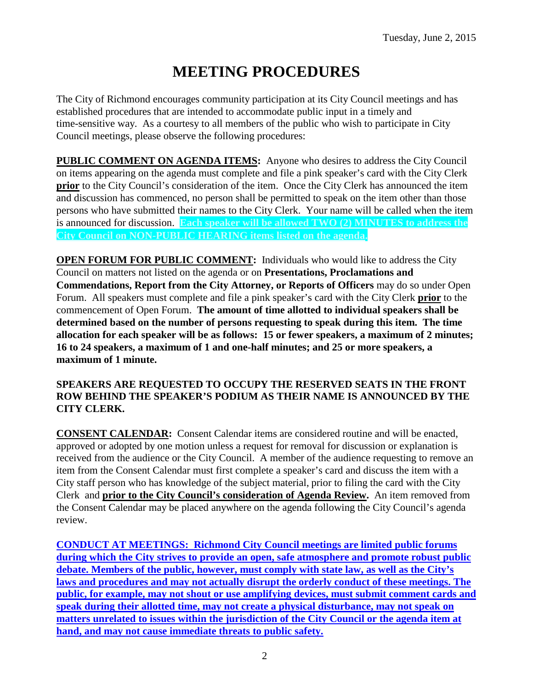# **MEETING PROCEDURES**

The City of Richmond encourages community participation at its City Council meetings and has established procedures that are intended to accommodate public input in a timely and time-sensitive way. As a courtesy to all members of the public who wish to participate in City Council meetings, please observe the following procedures:

**PUBLIC COMMENT ON AGENDA ITEMS:** Anyone who desires to address the City Council on items appearing on the agenda must complete and file a pink speaker's card with the City Clerk **prior** to the City Council's consideration of the item. Once the City Clerk has announced the item and discussion has commenced, no person shall be permitted to speak on the item other than those persons who have submitted their names to the City Clerk. Your name will be called when the item is announced for discussion. **Each speaker will be allowed TWO (2) MINUTES to address the City Council on NON-PUBLIC HEARING items listed on the agenda.**

**OPEN FORUM FOR PUBLIC COMMENT:** Individuals who would like to address the City Council on matters not listed on the agenda or on **Presentations, Proclamations and Commendations, Report from the City Attorney, or Reports of Officers** may do so under Open Forum. All speakers must complete and file a pink speaker's card with the City Clerk **prior** to the commencement of Open Forum. **The amount of time allotted to individual speakers shall be determined based on the number of persons requesting to speak during this item. The time allocation for each speaker will be as follows: 15 or fewer speakers, a maximum of 2 minutes; 16 to 24 speakers, a maximum of 1 and one-half minutes; and 25 or more speakers, a maximum of 1 minute.**

#### **SPEAKERS ARE REQUESTED TO OCCUPY THE RESERVED SEATS IN THE FRONT ROW BEHIND THE SPEAKER'S PODIUM AS THEIR NAME IS ANNOUNCED BY THE CITY CLERK.**

**CONSENT CALENDAR:** Consent Calendar items are considered routine and will be enacted, approved or adopted by one motion unless a request for removal for discussion or explanation is received from the audience or the City Council. A member of the audience requesting to remove an item from the Consent Calendar must first complete a speaker's card and discuss the item with a City staff person who has knowledge of the subject material, prior to filing the card with the City Clerk and **prior to the City Council's consideration of Agenda Review.** An item removed from the Consent Calendar may be placed anywhere on the agenda following the City Council's agenda review.

**CONDUCT AT MEETINGS: Richmond City Council meetings are limited public forums during which the City strives to provide an open, safe atmosphere and promote robust public debate. Members of the public, however, must comply with state law, as well as the City's laws and procedures and may not actually disrupt the orderly conduct of these meetings. The public, for example, may not shout or use amplifying devices, must submit comment cards and speak during their allotted time, may not create a physical disturbance, may not speak on matters unrelated to issues within the jurisdiction of the City Council or the agenda item at hand, and may not cause immediate threats to public safety.**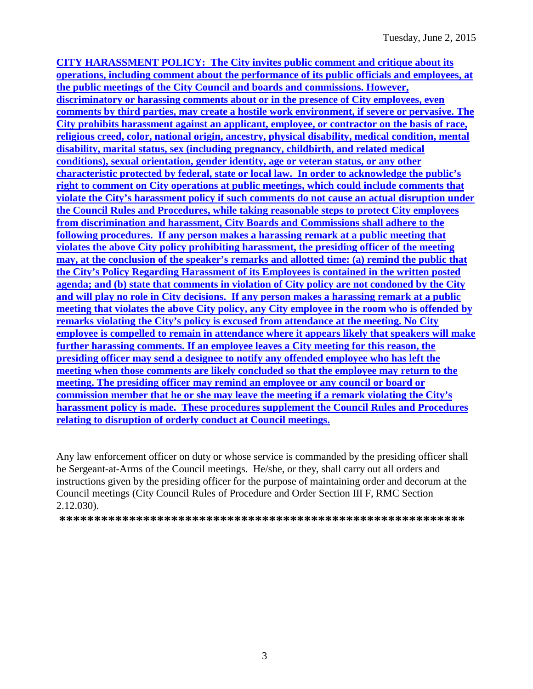**CITY HARASSMENT POLICY: The City invites public comment and critique about its operations, including comment about the performance of its public officials and employees, at the public meetings of the City Council and boards and commissions. However, discriminatory or harassing comments about or in the presence of City employees, even comments by third parties, may create a hostile work environment, if severe or pervasive. The City prohibits harassment against an applicant, employee, or contractor on the basis of race, religious creed, color, national origin, ancestry, physical disability, medical condition, mental disability, marital status, sex (including pregnancy, childbirth, and related medical conditions), sexual orientation, gender identity, age or veteran status, or any other characteristic protected by federal, state or local law. In order to acknowledge the public's right to comment on City operations at public meetings, which could include comments that violate the City's harassment policy if such comments do not cause an actual disruption under the Council Rules and Procedures, while taking reasonable steps to protect City employees from discrimination and harassment, City Boards and Commissions shall adhere to the following procedures. If any person makes a harassing remark at a public meeting that violates the above City policy prohibiting harassment, the presiding officer of the meeting may, at the conclusion of the speaker's remarks and allotted time: (a) remind the public that the City's Policy Regarding Harassment of its Employees is contained in the written posted agenda; and (b) state that comments in violation of City policy are not condoned by the City and will play no role in City decisions. If any person makes a harassing remark at a public meeting that violates the above City policy, any City employee in the room who is offended by remarks violating the City's policy is excused from attendance at the meeting. No City employee is compelled to remain in attendance where it appears likely that speakers will make further harassing comments. If an employee leaves a City meeting for this reason, the presiding officer may send a designee to notify any offended employee who has left the meeting when those comments are likely concluded so that the employee may return to the meeting. The presiding officer may remind an employee or any council or board or commission member that he or she may leave the meeting if a remark violating the City's harassment policy is made. These procedures supplement the Council Rules and Procedures relating to disruption of orderly conduct at Council meetings.**

Any law enforcement officer on duty or whose service is commanded by the presiding officer shall be Sergeant-at-Arms of the Council meetings. He/she, or they, shall carry out all orders and instructions given by the presiding officer for the purpose of maintaining order and decorum at the Council meetings (City Council Rules of Procedure and Order Section III F, RMC Section 2.12.030).

**\*\*\*\*\*\*\*\*\*\*\*\*\*\*\*\*\*\*\*\*\*\*\*\*\*\*\*\*\*\*\*\*\*\*\*\*\*\*\*\*\*\*\*\*\*\*\*\*\*\*\*\*\*\*\*\*\*\***

3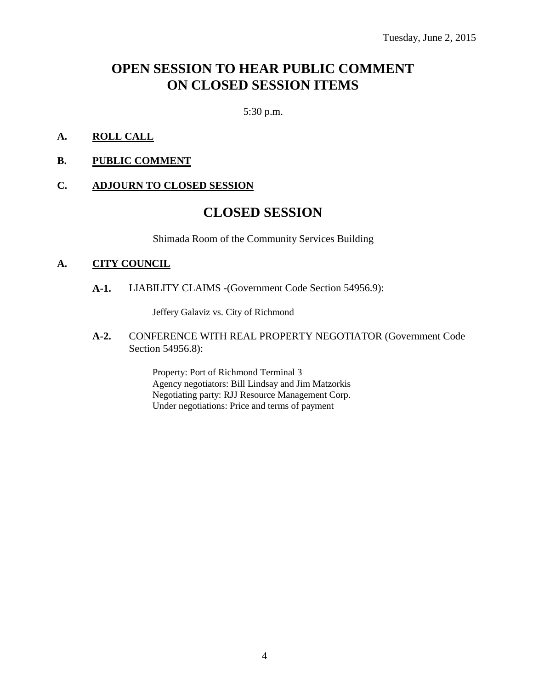# **OPEN SESSION TO HEAR PUBLIC COMMENT ON CLOSED SESSION ITEMS**

5:30 p.m.

- **A. ROLL CALL**
- **B. PUBLIC COMMENT**

#### **C. ADJOURN TO CLOSED SESSION**

# **CLOSED SESSION**

Shimada Room of the Community Services Building

#### **A. CITY COUNCIL**

**A-1.** LIABILITY CLAIMS -(Government Code Section 54956.9):

Jeffery Galaviz vs. City of Richmond

**A-2.** CONFERENCE WITH REAL PROPERTY NEGOTIATOR (Government Code Section 54956.8):

> Property: Port of Richmond Terminal 3 Agency negotiators: Bill Lindsay and Jim Matzorkis Negotiating party: RJJ Resource Management Corp. Under negotiations: Price and terms of payment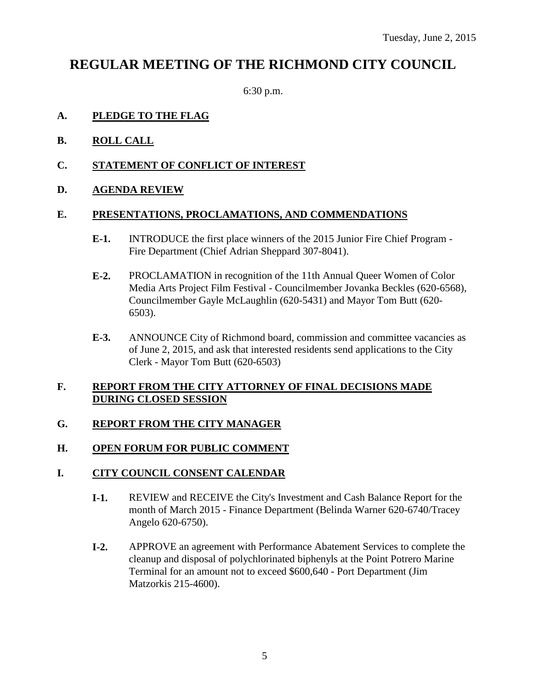# **REGULAR MEETING OF THE RICHMOND CITY COUNCIL**

6:30 p.m.

#### **A. PLEDGE TO THE FLAG**

- **B. ROLL CALL**
- **C. STATEMENT OF CONFLICT OF INTEREST**
- **D. AGENDA REVIEW**

#### **E. PRESENTATIONS, PROCLAMATIONS, AND COMMENDATIONS**

- **E-1.** INTRODUCE the first place winners of the 2015 Junior Fire Chief Program Fire Department (Chief Adrian Sheppard 307-8041).
- **E-2.** PROCLAMATION in recognition of the 11th Annual Queer Women of Color Media Arts Project Film Festival - Councilmember Jovanka Beckles (620-6568), Councilmember Gayle McLaughlin (620-5431) and Mayor Tom Butt (620- 6503).
- **E-3.** ANNOUNCE City of Richmond board, commission and committee vacancies as of June 2, 2015, and ask that interested residents send applications to the City Clerk - Mayor Tom Butt (620-6503)

#### **F. REPORT FROM THE CITY ATTORNEY OF FINAL DECISIONS MADE DURING CLOSED SESSION**

# **G. REPORT FROM THE CITY MANAGER**

# **H. OPEN FORUM FOR PUBLIC COMMENT**

# **I. CITY COUNCIL CONSENT CALENDAR**

- **I-1.** REVIEW and RECEIVE the City's Investment and Cash Balance Report for the month of March 2015 - Finance Department (Belinda Warner 620-6740/Tracey Angelo 620-6750).
- **I-2.** APPROVE an agreement with Performance Abatement Services to complete the cleanup and disposal of polychlorinated biphenyls at the Point Potrero Marine Terminal for an amount not to exceed \$600,640 - Port Department (Jim Matzorkis 215-4600).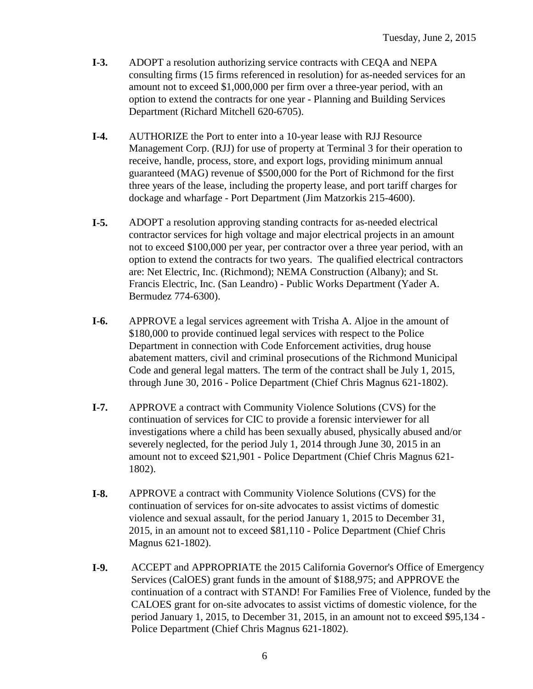- **I-3.** ADOPT a resolution authorizing service contracts with CEQA and NEPA consulting firms (15 firms referenced in resolution) for as-needed services for an amount not to exceed \$1,000,000 per firm over a three-year period, with an option to extend the contracts for one year - Planning and Building Services Department (Richard Mitchell 620-6705).
- **I-4.** AUTHORIZE the Port to enter into a 10-year lease with RJJ Resource Management Corp. (RJJ) for use of property at Terminal 3 for their operation to receive, handle, process, store, and export logs, providing minimum annual guaranteed (MAG) revenue of \$500,000 for the Port of Richmond for the first three years of the lease, including the property lease, and port tariff charges for dockage and wharfage - Port Department (Jim Matzorkis 215-4600).
- **I-5.** ADOPT a resolution approving standing contracts for as-needed electrical contractor services for high voltage and major electrical projects in an amount not to exceed \$100,000 per year, per contractor over a three year period, with an option to extend the contracts for two years. The qualified electrical contractors are: Net Electric, Inc. (Richmond); NEMA Construction (Albany); and St. Francis Electric, Inc. (San Leandro) - Public Works Department (Yader A. Bermudez 774-6300).
- **I-6.** APPROVE a legal services agreement with Trisha A. Aljoe in the amount of \$180,000 to provide continued legal services with respect to the Police Department in connection with Code Enforcement activities, drug house abatement matters, civil and criminal prosecutions of the Richmond Municipal Code and general legal matters. The term of the contract shall be July 1, 2015, through June 30, 2016 - Police Department (Chief Chris Magnus 621-1802).
- **I-7.** APPROVE a contract with Community Violence Solutions (CVS) for the continuation of services for CIC to provide a forensic interviewer for all investigations where a child has been sexually abused, physically abused and/or severely neglected, for the period July 1, 2014 through June 30, 2015 in an amount not to exceed \$21,901 - Police Department (Chief Chris Magnus 621- 1802).
- **I-8.** APPROVE a contract with Community Violence Solutions (CVS) for the continuation of services for on-site advocates to assist victims of domestic violence and sexual assault, for the period January 1, 2015 to December 31, 2015, in an amount not to exceed \$81,110 - Police Department (Chief Chris Magnus 621-1802).
- **I-9.** ACCEPT and APPROPRIATE the 2015 California Governor's Office of Emergency Services (CalOES) grant funds in the amount of \$188,975; and APPROVE the continuation of a contract with STAND! For Families Free of Violence, funded by the CALOES grant for on-site advocates to assist victims of domestic violence, for the period January 1, 2015, to December 31, 2015, in an amount not to exceed \$95,134 - Police Department (Chief Chris Magnus 621-1802).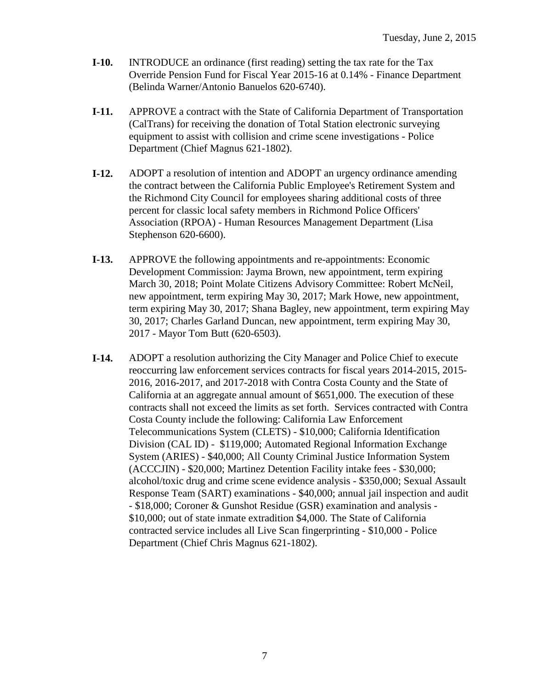- **I-10.** INTRODUCE an ordinance (first reading) setting the tax rate for the Tax Override Pension Fund for Fiscal Year 2015-16 at 0.14% - Finance Department (Belinda Warner/Antonio Banuelos 620-6740).
- **I-11.** APPROVE a contract with the State of California Department of Transportation (CalTrans) for receiving the donation of Total Station electronic surveying equipment to assist with collision and crime scene investigations - Police Department (Chief Magnus 621-1802).
- **I-12.** ADOPT a resolution of intention and ADOPT an urgency ordinance amending the contract between the California Public Employee's Retirement System and the Richmond City Council for employees sharing additional costs of three percent for classic local safety members in Richmond Police Officers' Association (RPOA) - Human Resources Management Department (Lisa Stephenson 620-6600).
- **I-13.** APPROVE the following appointments and re-appointments: Economic Development Commission: Jayma Brown, new appointment, term expiring March 30, 2018; Point Molate Citizens Advisory Committee: Robert McNeil, new appointment, term expiring May 30, 2017; Mark Howe, new appointment, term expiring May 30, 2017; Shana Bagley, new appointment, term expiring May 30, 2017; Charles Garland Duncan, new appointment, term expiring May 30, 2017 - Mayor Tom Butt (620-6503).
- **I-14.** ADOPT a resolution authorizing the City Manager and Police Chief to execute reoccurring law enforcement services contracts for fiscal years 2014-2015, 2015- 2016, 2016-2017, and 2017-2018 with Contra Costa County and the State of California at an aggregate annual amount of \$651,000. The execution of these contracts shall not exceed the limits as set forth. Services contracted with Contra Costa County include the following: California Law Enforcement Telecommunications System (CLETS) - \$10,000; California Identification Division (CAL ID) - \$119,000; Automated Regional Information Exchange System (ARIES) - \$40,000; All County Criminal Justice Information System (ACCCJIN) - \$20,000; Martinez Detention Facility intake fees - \$30,000; alcohol/toxic drug and crime scene evidence analysis - \$350,000; Sexual Assault Response Team (SART) examinations - \$40,000; annual jail inspection and audit - \$18,000; Coroner & Gunshot Residue (GSR) examination and analysis - \$10,000; out of state inmate extradition \$4,000. The State of California contracted service includes all Live Scan fingerprinting - \$10,000 - Police Department (Chief Chris Magnus 621-1802).